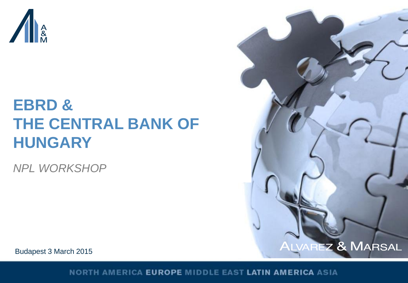

# **EBRD & THE CENTRAL BANK OF HUNGARY**

*NPL WORKSHOP*



Budapest 3 March 2015

NORTH AMERICA EUROPE MIDDLE EAST LATIN AMERICA ASIA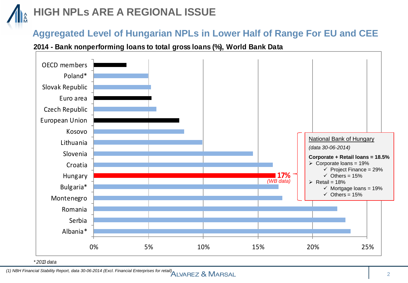## **HIGH NPLs ARE A REGIONAL ISSUE**

#### **Aggregated Level of Hungarian NPLs in Lower Half of Range For EU and CEE**

#### **2014 - Bank nonperforming loans to total gross loans (%), World Bank Data**



*\* 2013 data*

*(1) NBH Financial Stability Report, data 30-06-2014 (Excl. Financial Enterprises for retail)*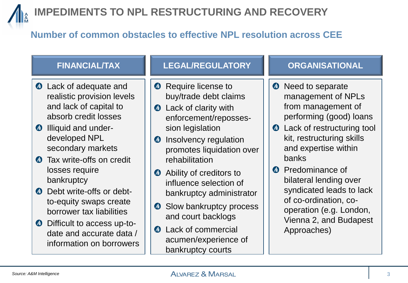

### **IMPEDIMENTS TO NPL RESTRUCTURING AND RECOVERY**

#### **Number of common obstacles to effective NPL resolution across CEE**

- **4** Lack of adequate and realistic provision levels and lack of capital to absorb credit losses
- **4** Illiquid and underdeveloped NPL secondary markets
- **Tax write-offs on credit** losses require bankruptcy
- **4** Debt write-offs or debtto-equity swaps create borrower tax liabilities
- $\bullet$  Difficult to access up-todate and accurate data / information on borrowers

#### **FINANCIAL/TAX LEGAL/REGULATORY ORGANISATIONAL**

- **A** Require license to buy/trade debt claims
- **4** Lack of clarity with enforcement/repossession legislation
- Insolvency regulation  $\bullet$ promotes liquidation over rehabilitation
- **A** Ability of creditors to influence selection of bankruptcy administrator
- **Slow bankruptcy process** and court backlogs
- **A** Lack of commercial acumen/experience of bankruptcy courts

- Need to separate  $\bullet$ management of NPLs from management of performing (good) loans
- **4** Lack of restructuring tool kit, restructuring skills and expertise within banks
- **A** Predominance of bilateral lending over syndicated leads to lack of co-ordination, cooperation (e.g. London, Vienna 2, and Budapest Approaches)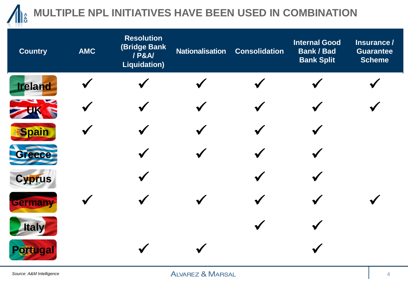

## **MULTIPLE NPL INITIATIVES HAVE BEEN USED IN COMBINATION**

| <b>Country</b> | <b>AMC</b> | <b>Resolution</b><br>(Bridge Bank<br>/ P&A/<br><b>Liquidation)</b> | <b>Nationalisation</b> | <b>Consolidation</b> | <b>Internal Good</b><br><b>Bank / Bad</b><br><b>Bank Split</b> | Insurance /<br><b>Guarantee</b><br><b>Scheme</b> |
|----------------|------------|--------------------------------------------------------------------|------------------------|----------------------|----------------------------------------------------------------|--------------------------------------------------|
| <b>Ireland</b> |            |                                                                    |                        |                      |                                                                |                                                  |
|                |            |                                                                    |                        |                      |                                                                |                                                  |
| <b>Spain</b>   |            |                                                                    |                        |                      |                                                                |                                                  |
| Greece         |            |                                                                    |                        |                      |                                                                |                                                  |
| Cyprus         |            |                                                                    |                        |                      |                                                                |                                                  |
| Germany        |            |                                                                    |                        |                      |                                                                |                                                  |
| <b>Italy</b>   |            |                                                                    |                        |                      |                                                                |                                                  |
| Portugal       |            |                                                                    |                        |                      |                                                                |                                                  |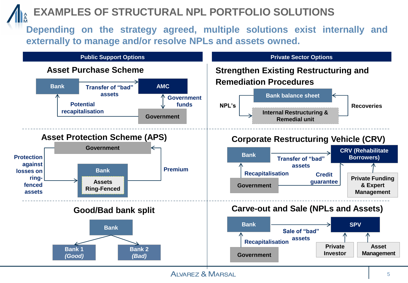### **EXAMPLES OF STRUCTURAL NPL PORTFOLIO SOLUTIONS**

**Depending on the strategy agreed, multiple solutions exist internally and externally to manage and/or resolve NPLs and assets owned.**



**ALVAREZ & MARSAL**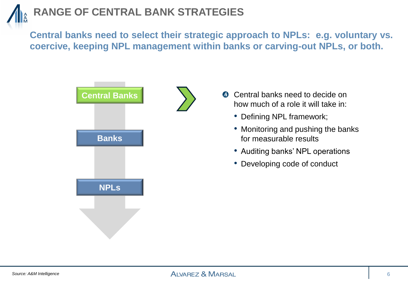## **RANGE OF CENTRAL BANK STRATEGIES**

**Central banks need to select their strategic approach to NPLs: e.g. voluntary vs. coercive, keeping NPL management within banks or carving-out NPLs, or both.**





- Defining NPL framework;
- Monitoring and pushing the banks for measurable results
- Auditing banks' NPL operations
- Developing code of conduct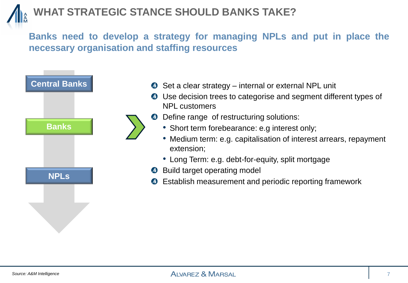### **WHAT STRATEGIC STANCE SHOULD BANKS TAKE?**

**Banks need to develop a strategy for managing NPLs and put in place the necessary organisation and staffing resources**



- Set a clear strategy internal or external NPL unit  $\sqrt{d}$
- Use decision trees to categorise and segment different types of NPL customers
- Define range of restructuring solutions:  $\sqrt{ }$ 
	- Short term forebearance: e.g interest only;
	- Medium term: e.g. capitalisation of interest arrears, repayment extension;
	- Long Term: e.g. debt-for-equity, split mortgage
- **A** Build target operating model
- Establish measurement and periodic reporting framework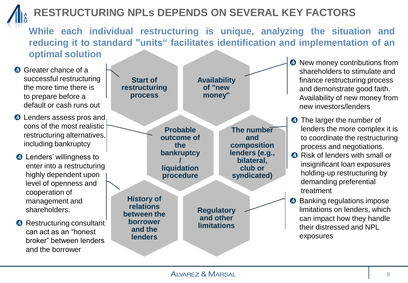## **RESTRUCTURING NPLs DEPENDS ON SEVERAL KEY FACTORS**

**While each individual restructuring is unique, analyzing the situation and reducing it to standard "units" facilitates identification and implementation of an optimal solution**

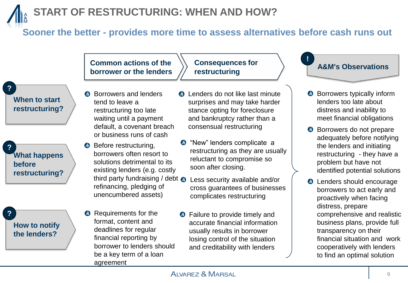## **START OF RESTRUCTURING: WHEN AND HOW?**

deadlines for regular financial reporting by

borrower to lenders should

be a key term of a loan

agreement

#### **Sooner the better - provides more time to assess alternatives before cash runs out**



**How to notify the lenders?**

usually results in borrower losing control of the situation and creditability with lenders

transparency on their

financial situation and work cooperatively with lenders to find an optimal solution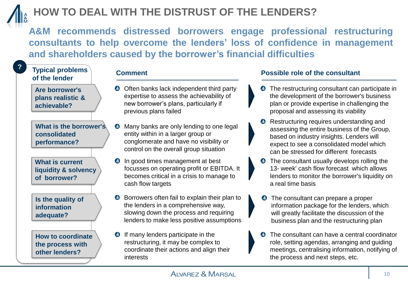

### **HOW TO DEAL WITH THE DISTRUST OF THE LENDERS?**

**A&M recommends distressed borrowers engage professional restructuring consultants to help overcome the lenders' loss of confidence in management and shareholders caused by the borrower's financial difficulties**

#### **?**

#### **Typical problems of the lender**

**Are borrower's plans realistic & achievable?**

**What is the borrower's consolidated performance?**

**What is current liquidity & solvency of borrower?**

**Is the quality of information adequate?**

**How to coordinate the process with other lenders?**

- **O** Often banks lack independent third party expertise to assess the achievability of new borrower's plans, particularly if previous plans failed
- $\sqrt{1}$ Many banks are only lending to one legal entity within in a larger group or conglomerate and have no visibility or control on the overall group situation
- $\sqrt{4}$ In good times management at best focusses on operating profit or EBITDA. It becomes critical in a crisis to manage to cash flow targets
- **O** Borrowers often fail to explain their plan to the lenders in a comprehensive way, slowing down the process and requiring lenders to make less positive assumptions
- **1** If many lenders participate in the restructuring, it may be complex to coordinate their actions and align their interests

#### **Comment Possible role of the consultant**

- The restructuring consultant can participate in the development of the borrower's business plan or provide expertise in challenging the proposal and assessing its viability
- **A** Restructuring requires understanding and assessing the entire business of the Group, based on industry insights. Lenders will expect to see a consolidated model which can be stressed for different forecasts
- The consultant usually develops rolling the 13- week' cash flow forecast which allows lenders to monitor the borrower's liquidity on a real time basis
- The consultant can prepare a proper information package for the lenders, which will greatly facilitate the discussion of the business plan and the restructuring plan
- The consultant can have a central coordinator  $\sqrt{d}$ role, setting agendas, arranging and guiding meetings, centralising information, notifying of the process and next steps, etc.